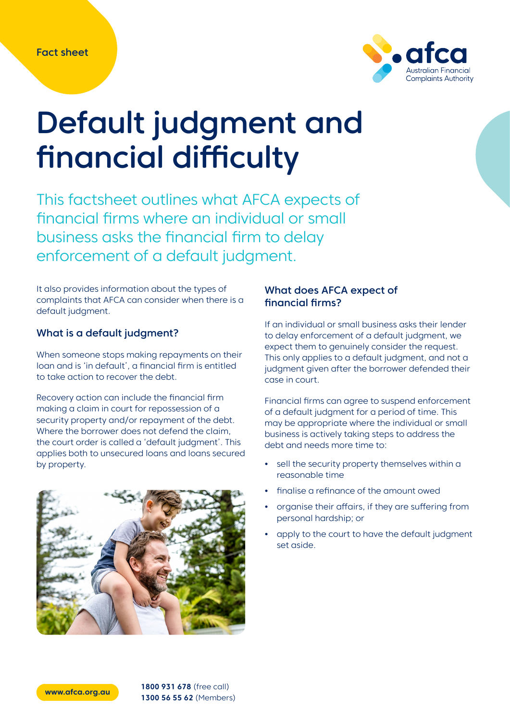

# Default judgment and financial difficulty

This factsheet outlines what AFCA expects of financial firms where an individual or small business asks the financial firm to delay enforcement of a default judgment.

It also provides information about the types of complaints that AFCA can consider when there is a default judgment.

## What is a default judgment?

When someone stops making repayments on their loan and is 'in default', a financial firm is entitled to take action to recover the debt.

Recovery action can include the financial firm making a claim in court for repossession of a security property and/or repayment of the debt. Where the borrower does not defend the claim, the court order is called a 'default judgment'. This applies both to unsecured loans and loans secured by property.



## What does AFCA expect of financial firms?

If an individual or small business asks their lender to delay enforcement of a default judgment, we expect them to genuinely consider the request. This only applies to a default judgment, and not a judgment given after the borrower defended their case in court.

Financial firms can agree to suspend enforcement of a default judgment for a period of time. This may be appropriate where the individual or small business is actively taking steps to address the debt and needs more time to:

- **•** sell the security property themselves within a reasonable time
- **•** finalise a refinance of the amount owed
- **•** organise their affairs, if they are suffering from personal hardship; or
- **•** apply to the court to have the default judgment set aside.

**[www.afca.org.au](http://www.afca.org.au) 1800 931 678** (free call) **1300 56 55 62** (Members)